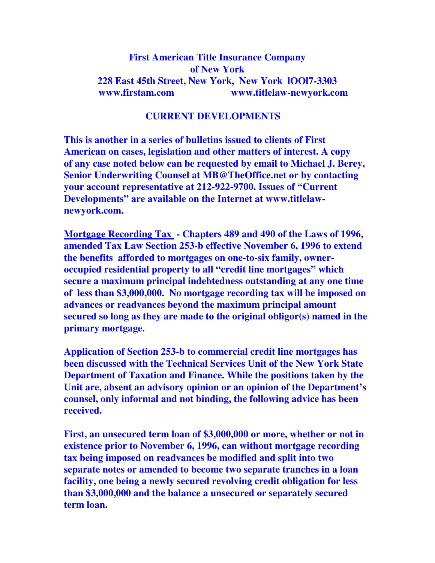## **First American Title Insurance Company of New York 228 East 45th Street, New York, New York lOOl7-3303 www.firstam.com www.titlelaw-newyork.com**

## **CURRENT DEVELOPMENTS**

**This is another in a series of bulletins issued to clients of First American on cases, legislation and other matters of interest. A copy of any case noted below can be requested by email to Michael J. Berey, Senior Underwriting Counsel at MB@TheOffice.net or by contacting your account representative at 212-922-9700. Issues of "Current Developments" are available on the Internet at www.titlelawnewyork.com.** 

**Mortgage Recording Tax - Chapters 489 and 490 of the Laws of 1996, amended Tax Law Section 253-b effective November 6, 1996 to extend the benefits afforded to mortgages on one-to-six family, owneroccupied residential property to all "credit line mortgages" which secure a maximum principal indebtedness outstanding at any one time of less than \$3,000,000. No mortgage recording tax will be imposed on advances or readvances beyond the maximum principal amount secured so long as they are made to the original obligor(s) named in the primary mortgage.** 

**Application of Section 253-b to commercial credit line mortgages has been discussed with the Technical Services Unit of the New York State Department of Taxation and Finance. While the positions taken by the Unit are, absent an advisory opinion or an opinion of the Department's counsel, only informal and not binding, the following advice has been received.** 

**First, an unsecured term loan of \$3,000,000 or more, whether or not in existence prior to November 6, 1996, can without mortgage recording tax being imposed on readvances be modified and split into two separate notes or amended to become two separate tranches in a loan facility, one being a newly secured revolving credit obligation for less than \$3,000,000 and the balance a unsecured or separately secured term loan.**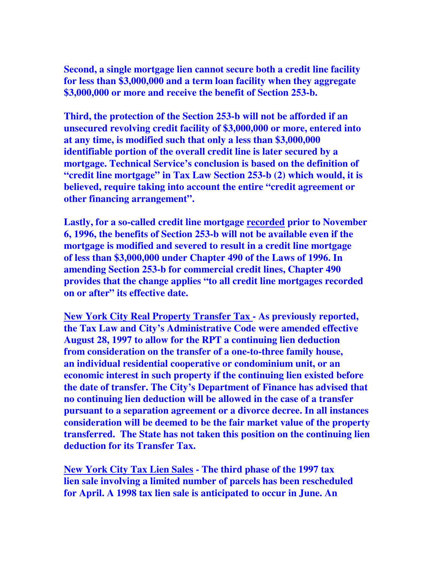**Second, a single mortgage lien cannot secure both a credit line facility for less than \$3,000,000 and a term loan facility when they aggregate \$3,000,000 or more and receive the benefit of Section 253-b.** 

**Third, the protection of the Section 253-b will not be afforded if an unsecured revolving credit facility of \$3,000,000 or more, entered into at any time, is modified such that only a less than \$3,000,000 identifiable portion of the overall credit line is later secured by a mortgage. Technical Service's conclusion is based on the definition of "credit line mortgage" in Tax Law Section 253-b (2) which would, it is believed, require taking into account the entire "credit agreement or other financing arrangement".** 

**Lastly, for a so-called credit line mortgage recorded prior to November 6, 1996, the benefits of Section 253-b will not be available even if the mortgage is modified and severed to result in a credit line mortgage of less than \$3,000,000 under Chapter 490 of the Laws of 1996. In amending Section 253-b for commercial credit lines, Chapter 490 provides that the change applies "to all credit line mortgages recorded on or after" its effective date.** 

**New York City Real Property Transfer Tax - As previously reported, the Tax Law and City's Administrative Code were amended effective August 28, 1997 to allow for the RPT a continuing lien deduction from consideration on the transfer of a one-to-three family house, an individual residential cooperative or condominium unit, or an economic interest in such property if the continuing lien existed before the date of transfer. The City's Department of Finance has advised that no continuing lien deduction will be allowed in the case of a transfer pursuant to a separation agreement or a divorce decree. In all instances consideration will be deemed to be the fair market value of the property transferred. The State has not taken this position on the continuing lien deduction for its Transfer Tax.** 

**New York City Tax Lien Sales - The third phase of the 1997 tax lien sale involving a limited number of parcels has been rescheduled for April. A 1998 tax lien sale is anticipated to occur in June. An**